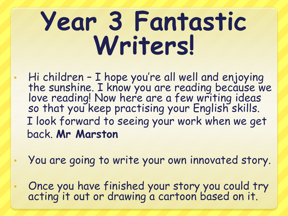## **Year 3 Fantastic Writers!**

- Hi children I hope you're all well and enjoying the sunshine. I know you are reading because we love reading! Now here are a few writing ideas so that you keep practising your English skills. I look forward to seeing your work when we get back. **Mr Marston**
- You are going to write your own innovated story.
- Once you have finished your story you could try acting it out or drawing a cartoon based on it.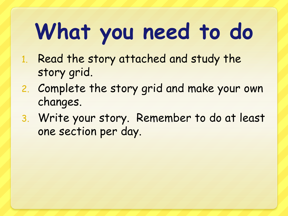## **What you need to do**

- 1. Read the story attached and study the story grid.
- 2. Complete the story grid and make your own changes.
- 3. Write your story. Remember to do at least one section per day.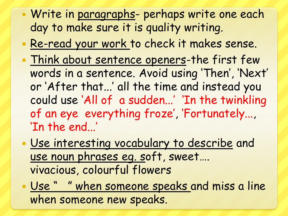- Write in paragraphs- perhaps write one each day to make sure it is quality writing.
- Re-read your work to check it makes sense.
- Think about sentence openers-the first few words in a sentence. Avoid using 'Then', 'Next' or 'After that...' all the time and instead you could use 'All of a sudden...' 'In the twinkling of an eye everything froze', 'Fortunately..., 'In the end...'
- Use interesting vocabulary to describe and use noun phrases eg. soft, sweet…. vivacious, colourful flowers
- Use " " when someone speaks and miss a line when someone new speaks.